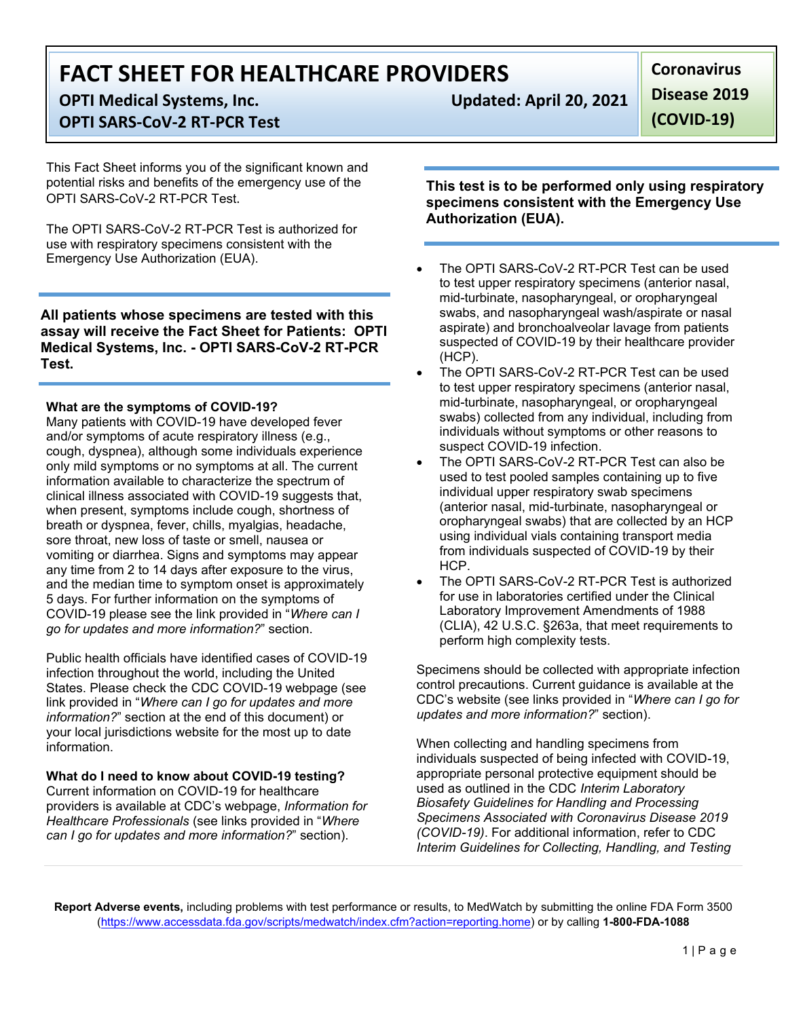# **FACT SHEET FOR HEALTHCARE PROVIDERS**

**OPTI Medical Systems, Inc. Updated: April 20, 2021**

## **OPTI SARS-CoV-2 RT-PCR Test**

This Fact Sheet informs you of the significant known and potential risks and benefits of the emergency use of the OPTI SARS-CoV-2 RT-PCR Test.

The OPTI SARS-CoV-2 RT-PCR Test is authorized for use with respiratory specimens consistent with the Emergency Use Authorization (EUA).

**All patients whose specimens are tested with this assay will receive the Fact Sheet for Patients: OPTI Medical Systems, Inc. - OPTI SARS-CoV-2 RT-PCR Test.**

### **What are the symptoms of COVID-19?**

Many patients with COVID-19 have developed fever and/or symptoms of acute respiratory illness (e.g., cough, dyspnea), although some individuals experience only mild symptoms or no symptoms at all. The current information available to characterize the spectrum of clinical illness associated with COVID-19 suggests that, when present, symptoms include cough, shortness of breath or dyspnea, fever, chills, myalgias, headache, sore throat, new loss of taste or smell, nausea or vomiting or diarrhea. Signs and symptoms may appear any time from 2 to 14 days after exposure to the virus, and the median time to symptom onset is approximately 5 days. For further information on the symptoms of COVID-19 please see the link provided in "*Where can I go for updates and more information?*" section.

Public health officials have identified cases of COVID-19 infection throughout the world, including the United States. Please check the CDC COVID-19 webpage (see link provided in "*Where can I go for updates and more information?*" section at the end of this document) or your local jurisdictions website for the most up to date information.

### **What do I need to know about COVID-19 testing?**

Current information on COVID-19 for healthcare providers is available at CDC's webpage, *Information for Healthcare Professionals* (see links provided in "*Where can I go for updates and more information?*" section).

**Coronavirus Disease 2019** 

**(COVID-19)**

**This test is to be performed only using respiratory specimens consistent with the Emergency Use Authorization (EUA).**

- The OPTI SARS-CoV-2 RT-PCR Test can be used to test upper respiratory specimens (anterior nasal, mid-turbinate, nasopharyngeal, or oropharyngeal swabs, and nasopharyngeal wash/aspirate or nasal aspirate) and bronchoalveolar lavage from patients suspected of COVID-19 by their healthcare provider (HCP).
- The OPTI SARS-CoV-2 RT-PCR Test can be used to test upper respiratory specimens (anterior nasal, mid-turbinate, nasopharyngeal, or oropharyngeal swabs) collected from any individual, including from individuals without symptoms or other reasons to suspect COVID-19 infection.
- The OPTI SARS-CoV-2 RT-PCR Test can also be used to test pooled samples containing up to five individual upper respiratory swab specimens (anterior nasal, mid-turbinate, nasopharyngeal or oropharyngeal swabs) that are collected by an HCP using individual vials containing transport media from individuals suspected of COVID-19 by their HCP.
- The OPTI SARS-CoV-2 RT-PCR Test is authorized for use in laboratories certified under the Clinical Laboratory Improvement Amendments of 1988 (CLIA), 42 U.S.C. §263a, that meet requirements to perform high complexity tests.

Specimens should be collected with appropriate infection control precautions. Current guidance is available at the CDC's website (see links provided in "*Where can I go for updates and more information?*" section).

When collecting and handling specimens from individuals suspected of being infected with COVID-19, appropriate personal protective equipment should be used as outlined in the CDC *Interim Laboratory Biosafety Guidelines for Handling and Processing Specimens Associated with Coronavirus Disease 2019 (COVID-19)*. For additional information, refer to CDC *Interim Guidelines for Collecting, Handling, and Testing* 

**Report Adverse events,** including problems with test performance or results, to MedWatch by submitting the online FDA Form 3500 (https://www.accessdata.fda.gov/scripts/medwatch/index.cfm?action=reporting.home) or by calling **1-800-FDA-1088**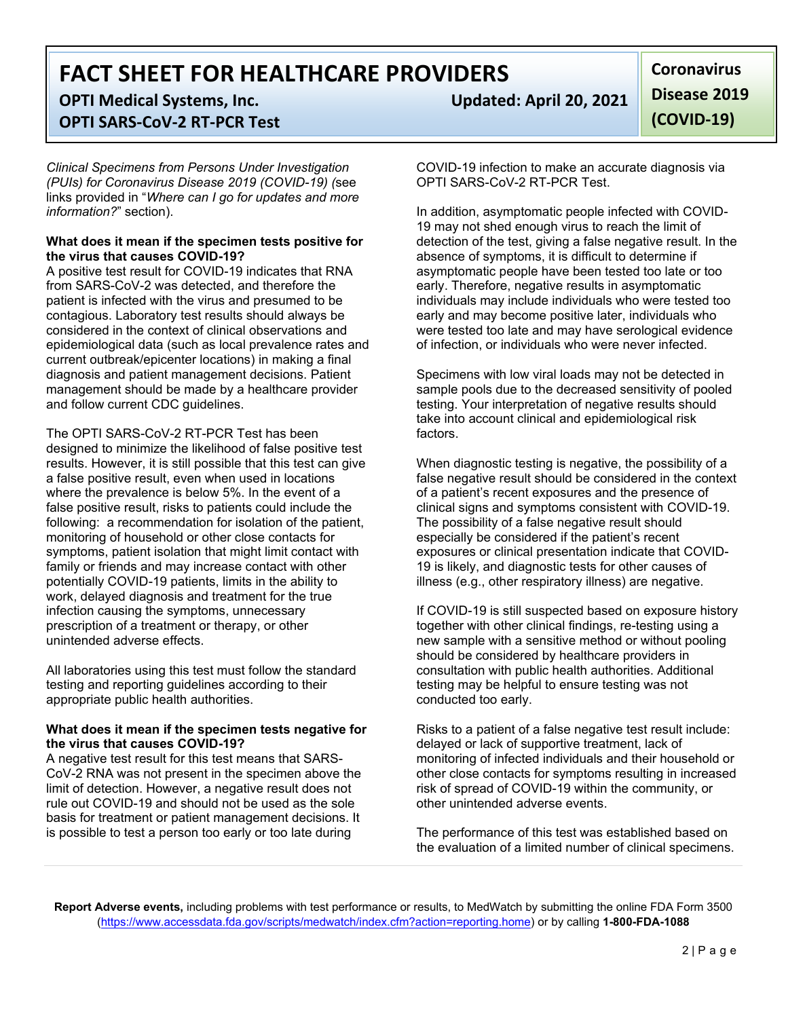# **FACT SHEET FOR HEALTHCARE PROVIDERS**

## **OPTI Medical Systems, Inc. Updated: April 20, 2021 OPTI SARS-CoV-2 RT-PCR Test**

*Clinical Specimens from Persons Under Investigation (PUIs) for Coronavirus Disease 2019 (COVID-19) (*see links provided in "*Where can I go for updates and more information?*" section).

#### **What does it mean if the specimen tests positive for the virus that causes COVID-19?**

A positive test result for COVID-19 indicates that RNA from SARS-CoV-2 was detected, and therefore the patient is infected with the virus and presumed to be contagious. Laboratory test results should always be considered in the context of clinical observations and epidemiological data (such as local prevalence rates and current outbreak/epicenter locations) in making a final diagnosis and patient management decisions. Patient management should be made by a healthcare provider and follow current CDC guidelines.

The OPTI SARS-CoV-2 RT-PCR Test has been designed to minimize the likelihood of false positive test results. However, it is still possible that this test can give a false positive result, even when used in locations where the prevalence is below 5%. In the event of a false positive result, risks to patients could include the following: a recommendation for isolation of the patient, monitoring of household or other close contacts for symptoms, patient isolation that might limit contact with family or friends and may increase contact with other potentially COVID-19 patients, limits in the ability to work, delayed diagnosis and treatment for the true infection causing the symptoms, unnecessary prescription of a treatment or therapy, or other unintended adverse effects.

All laboratories using this test must follow the standard testing and reporting guidelines according to their appropriate public health authorities.

#### **What does it mean if the specimen tests negative for the virus that causes COVID-19?**

A negative test result for this test means that SARS-CoV-2 RNA was not present in the specimen above the limit of detection. However, a negative result does not rule out COVID-19 and should not be used as the sole basis for treatment or patient management decisions. It is possible to test a person too early or too late during

**Coronavirus Disease 2019 (COVID-19)**

COVID-19 infection to make an accurate diagnosis via OPTI SARS-CoV-2 RT-PCR Test.

In addition, asymptomatic people infected with COVID-19 may not shed enough virus to reach the limit of detection of the test, giving a false negative result. In the absence of symptoms, it is difficult to determine if asymptomatic people have been tested too late or too early. Therefore, negative results in asymptomatic individuals may include individuals who were tested too early and may become positive later, individuals who were tested too late and may have serological evidence of infection, or individuals who were never infected.

Specimens with low viral loads may not be detected in sample pools due to the decreased sensitivity of pooled testing. Your interpretation of negative results should take into account clinical and epidemiological risk factors.

When diagnostic testing is negative, the possibility of a false negative result should be considered in the context of a patient's recent exposures and the presence of clinical signs and symptoms consistent with COVID-19. The possibility of a false negative result should especially be considered if the patient's recent exposures or clinical presentation indicate that COVID-19 is likely, and diagnostic tests for other causes of illness (e.g., other respiratory illness) are negative.

If COVID-19 is still suspected based on exposure history together with other clinical findings, re-testing using a new sample with a sensitive method or without pooling should be considered by healthcare providers in consultation with public health authorities. Additional testing may be helpful to ensure testing was not conducted too early.

Risks to a patient of a false negative test result include: delayed or lack of supportive treatment, lack of monitoring of infected individuals and their household or other close contacts for symptoms resulting in increased risk of spread of COVID-19 within the community, or other unintended adverse events.

The performance of this test was established based on the evaluation of a limited number of clinical specimens.

**Report Adverse events,** including problems with test performance or results, to MedWatch by submitting the online FDA Form 3500 (https://www.accessdata.fda.gov/scripts/medwatch/index.cfm?action=reporting.home) or by calling **1-800-FDA-1088**